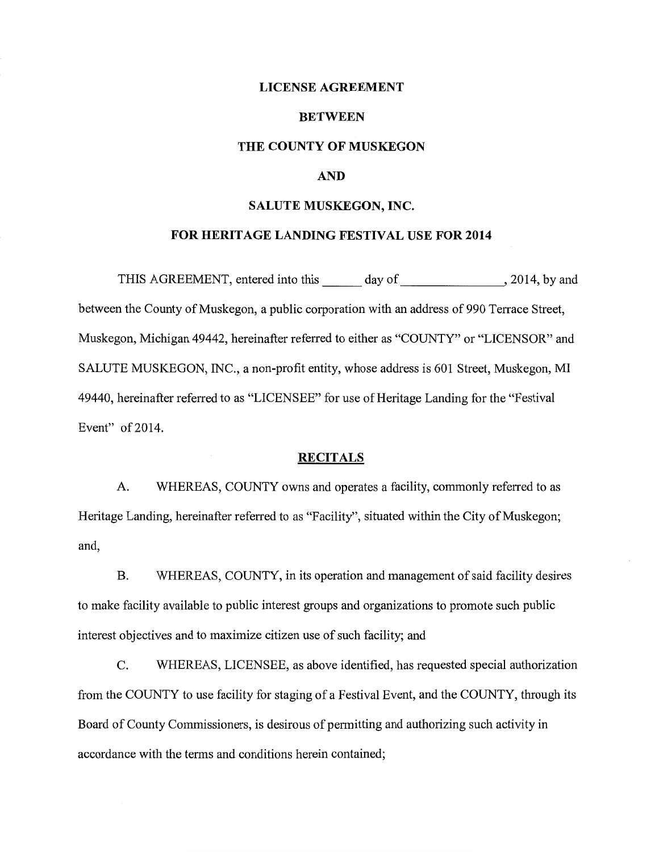### **LICENSE AGREEMENT**

#### **BETWEEN**

### **THE COUNTY OF MUSKEGON**

## **AND**

#### **SALUTE MUSKEGON, INC.**

## **FOR HERITAGE LANDING FESTIVAL USE FOR 2014**

THIS AGREEMENT, entered into this day of , 2014, by and between the County of Muskegon, a public corporation with an address of 990 Terrace Street, Muskegon, Michigan 49442, hereinafter referred to either as "COUNTY" or "LICENSOR" and SALUTE MUSKEGON, INC., a non-profit entity, whose address is 601 Street, Muskegon, MI 49440, hereinafter referred to as "LICENSEE" for use of Heritage Landing for the "Festival Event" of 2014.

## **RECITALS**

A. WHEREAS, COUNTY owns and operates a facility, commonly referred to as Heritage Landing, hereinafter referred to as "Facility'', situated within the City of Muskegon; and,

B. WHEREAS, COUNTY, in its operation and management of said facility desires to make facility available to public interest groups and organizations to promote such public interest objectives and to maximize citizen use of such facility; and

C. WHEREAS, LICENSEE, as above identified, has requested special authorization from the COUNTY to use facility for staging of a Festival Event, and the COUNTY, through its Board of County Commissioners, is desirous of permitting and authorizing such activity in accordance with the terms and conditions herein contained;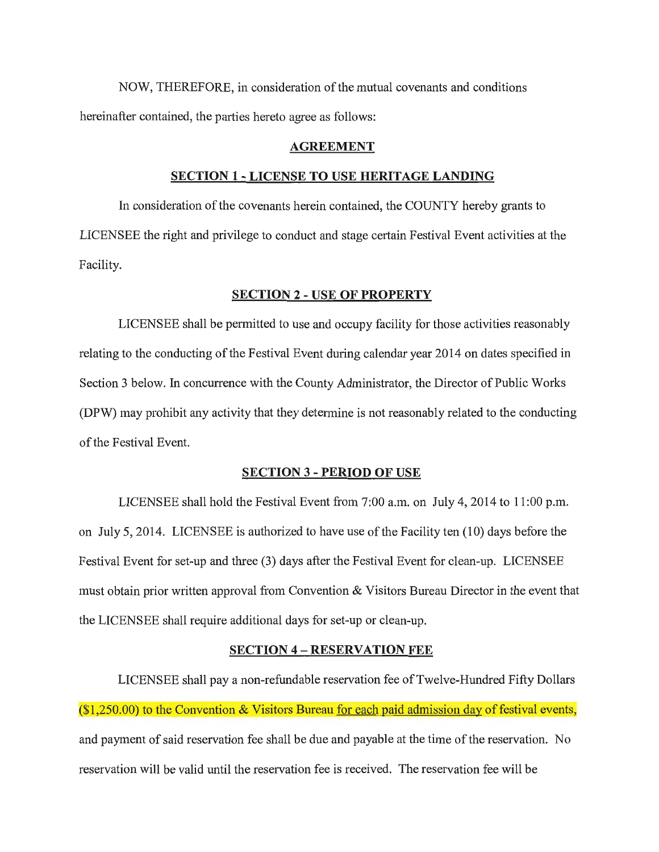NOW, THEREFORE, in consideration of the mutual covenants and conditions hereinafter contained, the parties hereto agree as follows:

### **AGREEMENT**

#### **SECTION 1 - LICENSE TO USE HERITAGE LANDING**

In consideration of the covenants herein contained, the COUNTY hereby grants to LICENSEE the right and privilege to conduct and stage certain Festival Event activities at the Facility.

### **SECTION 2 - USE OF PROPERTY**

LICENSEE shall be permitted to use and occupy facility for those activities reasonably relating to the conducting of the Festival Event during calendar year 2014 on dates specified in Section 3 below. In concurrence with the County Administrator, the Director of Public Works (DPW) may prohibit any activity that they determine is not reasonably related to the conducting of the Festival Event.

#### **SECTION** 3 - **PERIOD OF USE**

LICENSEE shall hold the Festival Event from 7:00 a.m. on July 4, 2014 to 11:00 p.m. on July 5, 2014. LICENSEE is authorized to have use of the Facility ten (10) days before the Festival Event for set-up and three (3) days after the Festival Event for clean-up. LICENSEE must obtain prior written approval from Convention & Visitors Bureau Director in the event that the LICENSEE shall require additional days for set-up or clean-up.

#### **SECTION 4 - RESERVATION FEE**

LICENSEE shall pay a non-refundable reservation fee of Twelve-Hundred Fifty Dollars  $(1,250.00)$  to the Convention & Visitors Bureau for each paid admission day of festival events, and payment of said reservation fee shall be due and payable at the time of the reservation. No reservation will be valid until the reservation fee is received. The reservation fee will be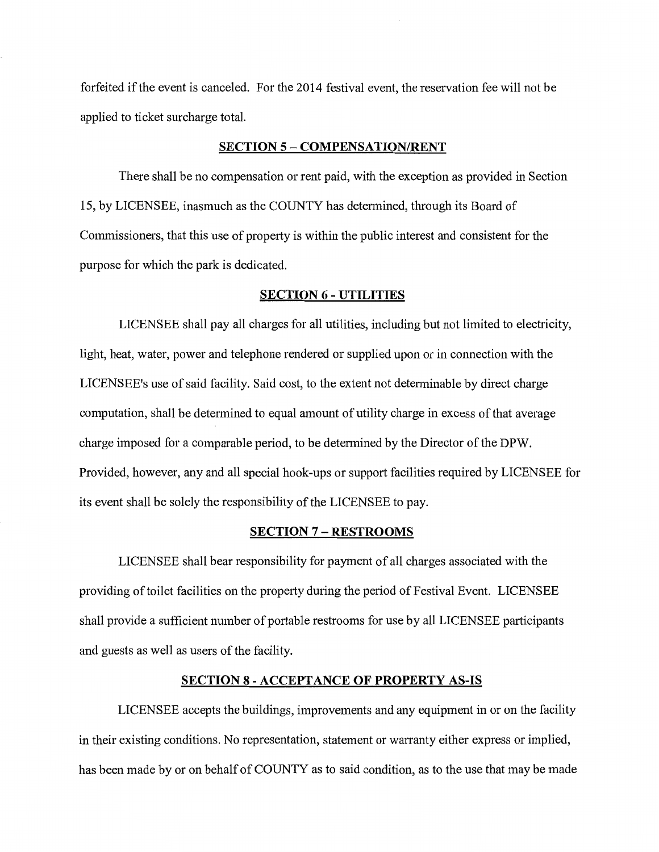forfeited if the event is canceled. For the 2014 festival event, the reservation fee will not be applied to ticket surcharge total.

### **SECTION 5 - COMPENSATION/RENT**

There shall be no compensation or rent paid, with the exception as provided in Section 15, by LICENSEE, inasmuch as the COUNTY has determined, through its Board of Commissioners, that this use of property is within the public interest and consistent for the purpose for which the park is dedicated.

### **SECTION 6 - UTILITIES**

LICENSEE shall pay all charges for all utilities, including but not limited to electricity, light, heat, water, power and telephone rendered or supplied upon or in connection with the LICENSEE's use of said facility. Said cost, to the extent not determinable by direct charge computation, shall be determined to equal amount of utility charge in excess of that average charge imposed for a comparable period, to be determined by the Director of the DPW. Provided, however, any and all special hook-ups or support facilities required by LICENSEE for its event shall be solely the responsibility of the LICENSEE to pay.

#### **SECTION** 7 - **RESTROOMS**

LICENSEE shall bear responsibility for payment of all charges associated with the providing of toilet facilities on the property during the period of Festival Event. LICENSEE shall provide a sufficient number of portable restrooms for use by all LICENSEE participants and guests as well as users of the facility.

## **SECTION 8 - ACCEPTANCE OF PROPERTY AS-IS**

LICENSEE accepts the buildings, improvements and any equipment in or on the facility in their existing conditions. No representation, statement or warranty either express or implied, has been made by or on behalf of COUNTY as to said condition, as to the use that may be made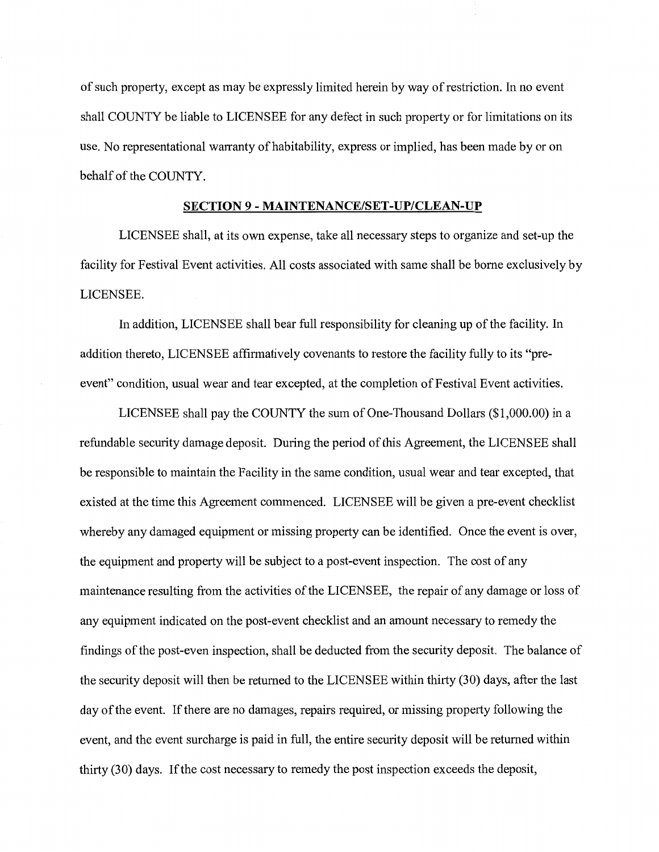of such property, except as may be expressly limited herein by way of restriction. In no event shall COUNTY be liable to LICENSEE for any defect in such property or for limitations on its use. No representational warranty of habitability, express or implied, has been made by or on behalf of the COUNTY.

# **SECTION 9 - MAINTENANCE/SET-UP/CLEAN-UP**

LICENSEE shall, at its own expense, take all necessary steps to organize and set-up the facility for Festival Event activities. All costs associated with same shall be home exclusively by LICENSEE.

In addition, LICENSEE shall bear full responsibility for cleaning up of the facility. In addition thereto, LICENSEE affirmatively covenants to restore the facility fully to its "preevent" condition, usual wear and tear excepted, at the completion of Festival Event activities.

LICENSEE shall pay the COUNTY the sum of One-Thousand Dollars (\$1,000.00) in a refundable security damage deposit. During the period of this Agreement, the LICENSEE shall be responsible to maintain the Facility in the same condition, usual wear and tear excepted, that existed at the time this Agreement commenced. LICENSEE will be given a pre-event checklist whereby any damaged equipment or missing property can be identified. Once the event is over, the equipment and property will be subject to a post-event inspection. The cost of any maintenance resulting from the activities of the LICENSEE, the repair of any damage or loss of any equipment indicated on the post-event checklist and an amount necessary to remedy the findings of the post-even inspection, shall be deducted from the security deposit. The balance of the security deposit will then be returned to the LICENSEE within thirty (30) days, after the last day of the event. If there are no damages, repairs required, or missing property following the event, and the event surcharge is paid in full, the entire security deposit will be returned within thirty (30) days. If the cost necessary to remedy the post inspection exceeds the deposit,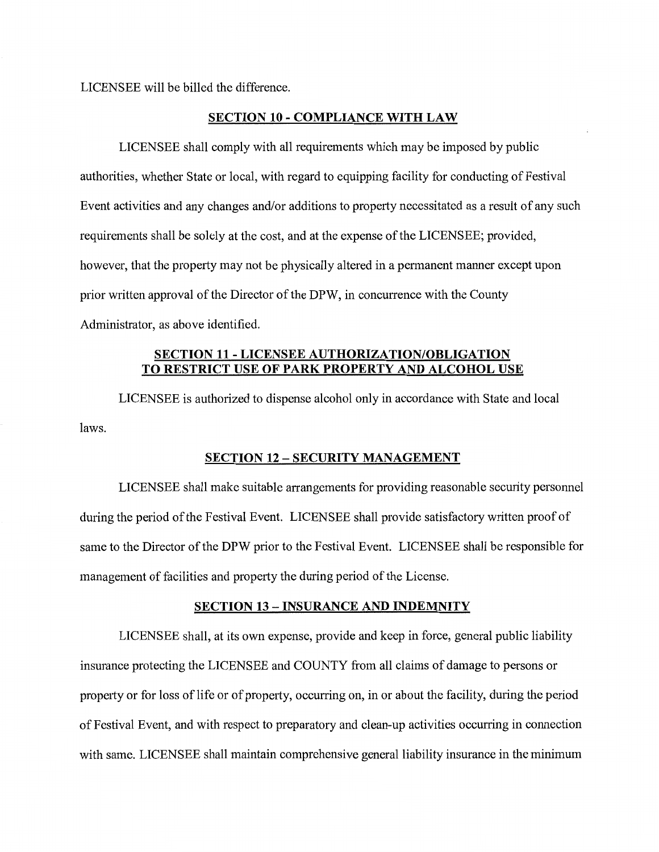LICENSEE will be billed the difference.

#### **SECTION 10 - COMPLIANCE WITH LAW**

LICENSEE shall comply with all requirements which may be imposed by public authorities, whether State or local, with regard to equipping facility for conducting of Festival Event activities and any changes and/or additions to property necessitated as a result of any such requirements shall be solely at the cost, and at the expense of the LICENSEE; provided, however, that the property may not be physically altered in a permanent manner except upon prior written approval of the Director of the DPW, in concurrence with the County Administrator, as above identified.

# **SECTION 11 - LICENSEE AUTHORIZATION/OBLIGATION TO RESTRICT USE OF PARK PROPERTY AND ALCOHOL USE**

laws. LICENSEE is authorized to dispense alcohol only in accordance with State and local

## **SECTION 12 - SECURITY MANAGEMENT**

LICENSEE shall make suitable arrangements for providing reasonable security personnel during the period of the Festival Event. LICENSEE shall provide satisfactory written proof of same to the Director of the DPW prior to the Festival Event. LICENSEE shall be responsible for management of facilities and property the during period of the License.

### **SECTION 13 - INSURANCE AND INDEMNITY**

LICENSEE shall, at its own expense, provide and keep in force, general public liability insurance protecting the LICENSEE and COUNTY from all claims of damage to persons or property or for loss of life or of property, occurring on, in or about the facility, during the period of Festival Event, and with respect to preparatory and clean-up activities occurring in connection with same. LICENSEE shall maintain comprehensive general liability insurance in the minimum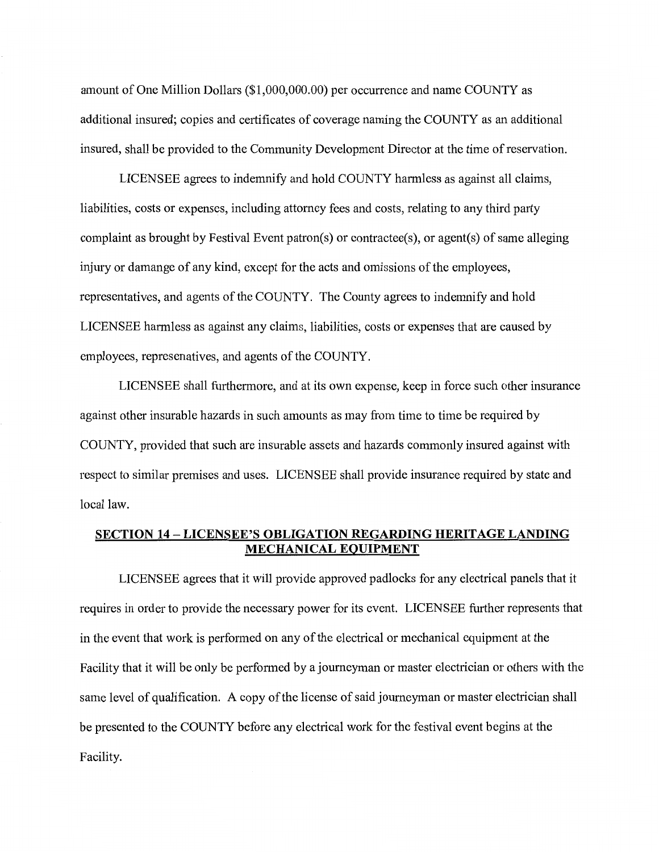amount of One Million Dollars (\$1,000,000.00) per occurrence and name COUNTY as additional insured; copies and certificates of coverage naming the COUNTY as an additional insured, shall be provided to the Community Development Director at the time of reservation.

LICENSEE agrees to indemnify and hold COUNTY harmless as against all claims, liabilities, costs or expenses, including attorney fees and costs, relating to any third party complaint as brought by Festival Event patron(s) or contractee(s), or agent(s) of same alleging injury or damange of any kind, except for the acts and omissions of the employees, representatives, and agents of the COUNTY. The County agrees to indemnify and hold LICENSEE harmless as against any claims, liabilities, costs or expenses that are caused by employees, represenatives, and agents of the COUNTY.

LICENSEE shall furthermore, and at its own expense, keep in force such other insurance against other insurable hazards in such amounts as may from time to time be required by COUNTY, provided that such are insurable assets and hazards commonly insured against with respect to similar premises and uses. LICENSEE shall provide insurance required by state and local law.

# **SECTION 14-LICENSEE'S OBLIGATION REGARDING HERITAGE LANDING MECHANICAL EQUIPMENT**

LICENSEE agrees that it will provide approved padlocks for any electrical panels that it requires in order to provide the necessary power for its event. LICENSEE further represents that in the event that work is performed on any of the electrical or mechanical equipment at the Facility that it will be only be performed by a journeyman or master electrician or others with the same level of qualification. A copy of the license of said journeyman or master electrician shall be presented to the COUNTY before any electrical work for the festival event begins at the Facility.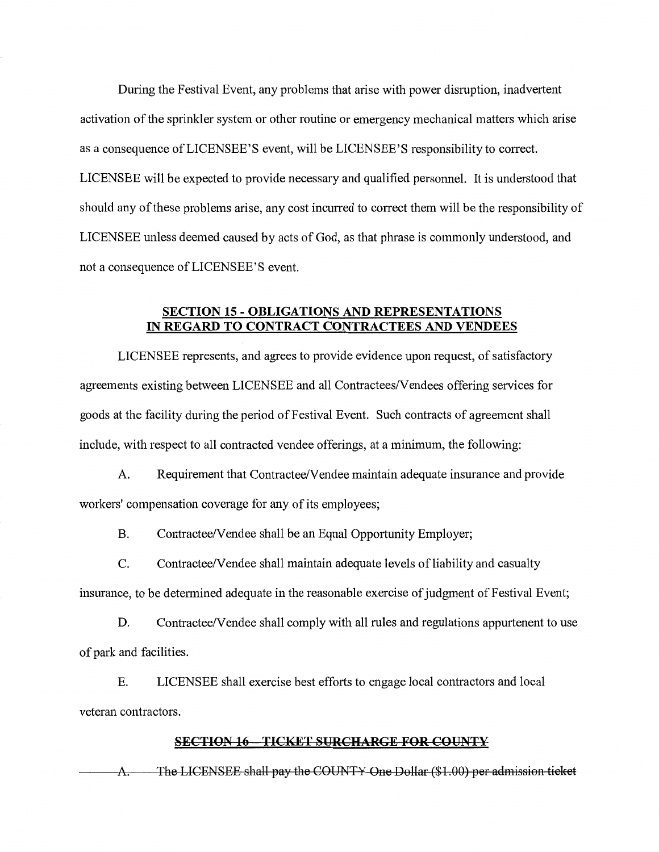During the Festival Event, any problems that arise with power disruption, inadvertent activation of the sprinkler system or other routine or emergency mechanical matters which arise as a consequence of LICENSEE'S event, will be LICENSEE'S responsibility to correct. LICENSEE will be expected to provide necessary and qualified personnel. It is understood that should any of these problems arise, any cost incurred to correct them will be the responsibility of LICENSEE unless deemed caused by acts of God, as that phrase is commonly understood, and not a consequence of LICENSEE'S event.

# **SECTION 15 - OBLIGATIONS AND REPRESENTATIONS IN REGARD TO CONTRACT CONTRACTEES AND VENDEES**

LICENSEE represents, and agrees to provide evidence upon request, of satisfactory agreements existing between LICENSEE and all Contractees/Vendees offering services for goods at the facility during the period of Festival Event. Such contracts of agreement shall include, with respect to all contracted vendee offerings, at a minimum, the following:

A. Requirement that Contractee/Vendee maintain adequate insurance and provide workers' compensation coverage for any of its employees;

B. Contractee/Vendee shall be an Equal Opportunity Employer;

C. Contractee/Vendee shall maintain adequate levels of liability and casualty insurance, to be determined adequate in the reasonable exercise of judgment of Festival Event;

D. Contractee/Vendee shall comply with all rules and regulations appurtenent to use of park and facilities.

E. LICENSEE shall exercise best efforts to engage local contractors and local veteran contractors.

## **SECTION 16 TICKET SURCHARGE FOR COUNTY**

A. The LICENSEE shall pay the COUNTY One Dollar (\$1.00) per admission ticket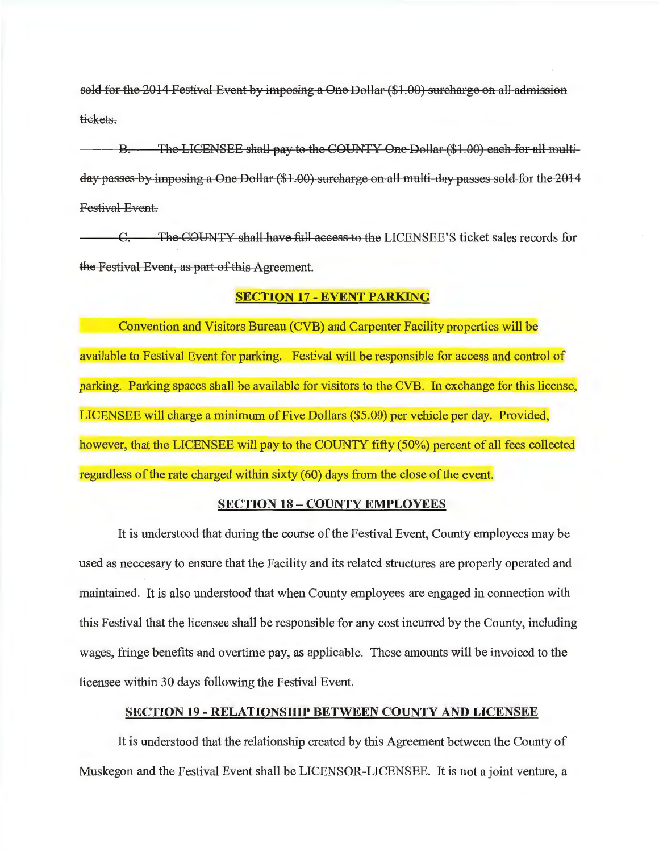sold for the 2014 Festival Event by imposing a One Dollar (\$1.00) surcharge on all-admission tiekets.

B. The LICENSEE shall pay to the COUNTY One Dollar (\$1.00) each for all multi day passes by imposing a One Dollar (\$1. 00) surcharge on all multi day passes sold for the 2014 Festival Event.

C. The COUNTY shall have full access to the LICENSEE'S ticket sales records for the Festival Event, as part of this Agreement.

# **SECTION 17-EVENT PARKING**

Convention and Visitors Bureau (CVB) and Carpenter Facility properties will be available to Festival Event for parking. Festival will be responsible for access and control of parking. Parking spaces shall be available for visitors to the CVB. In exchange for this license, LICENSEE will charge a minimum of Five Dollars (\$5.00) per vehicle per day. Provided, however, that the LICENSEE will pay to the COUNTY fifty (50%) percent of all fees collected regardless of the rate charged within sixty (60) days from the close of the event.

# **SECTION 18 - COUNTY EMPLOYEES**

It is understood that during the course of the Festival Event, County employees may be used as neccesary to ensure that the Facility and its related structures are properly operated and maintained. It is also understood that when County employees are engaged in connection with this Festival that the licensee shall be responsible for any cost incurred by the County, including wages, fringe benefits and overtime pay, as applicable. These amounts will be invoiced to the licensee within 30 days following the Festival Event.

## **SECTION 19 - RELATIONSHIP BETWEEN COUNTY AND LICENSEE**

It is understood that the relationship created by this Agreement between the County of Muskegon and the Festival Event shall be LICENSOR-LICENSEE. It is not a joint venture, a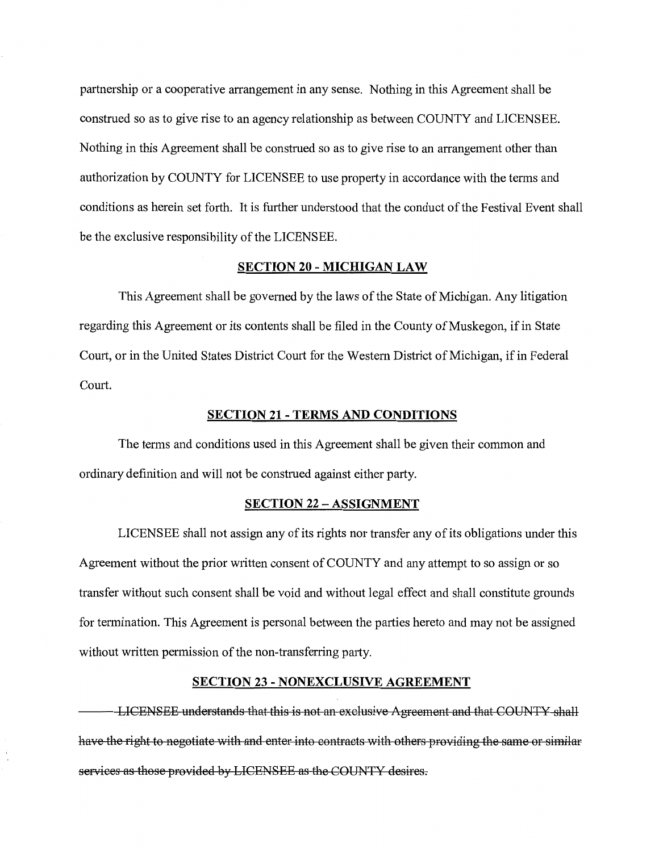partnership or a cooperative arrangement in any sense. Nothing in this Agreement shall be construed so as to give rise to an agency relationship as between COUNTY and LICENSEE. Nothing in this Agreement shall be construed so as to give rise to an arrangement other than authorization by COUNTY for LICENSEE to use property in accordance with the terms and conditions as herein set forth. It is further understood that the conduct of the Festival Event shall be the exclusive responsibility of the LICENSEE.

### **SECTION 20 - MICHIGAN LAW**

This Agreement shall be governed by the laws of the State of Michigan. Any litigation regarding this Agreement or its contents shall be filed in the County of Muskegon, if in State Court, or in the United States District Court for the Western District of Michigan, if in Federal Court.

### **SECTION 21 - TERMS AND CONDITIONS**

The terms and conditions used in this Agreement shall be given their common and ordinary definition and will not be construed against either party.

## **SECTION 22 - ASSIGNMENT**

LICENSEE shall not assign any of its rights nor transfer any of its obligations under this Agreement without the prior written consent of COUNTY and any attempt to so assign or so transfer without such consent shall be void and without legal effect and shall constitute grounds for termination. This Agreement is personal between the parties hereto and may not be assigned without written permission of the non-transferring party.

# **SECTION 23 - NONEXCLUSIVE AGREEMENT**

LICENSEE understands that this is not an exclusive Agreement and that COUNTY shall have the right to negotiate with and enter into contracts with others providing the same or similar services as those provided by LICENSEE as the COUNTY desires.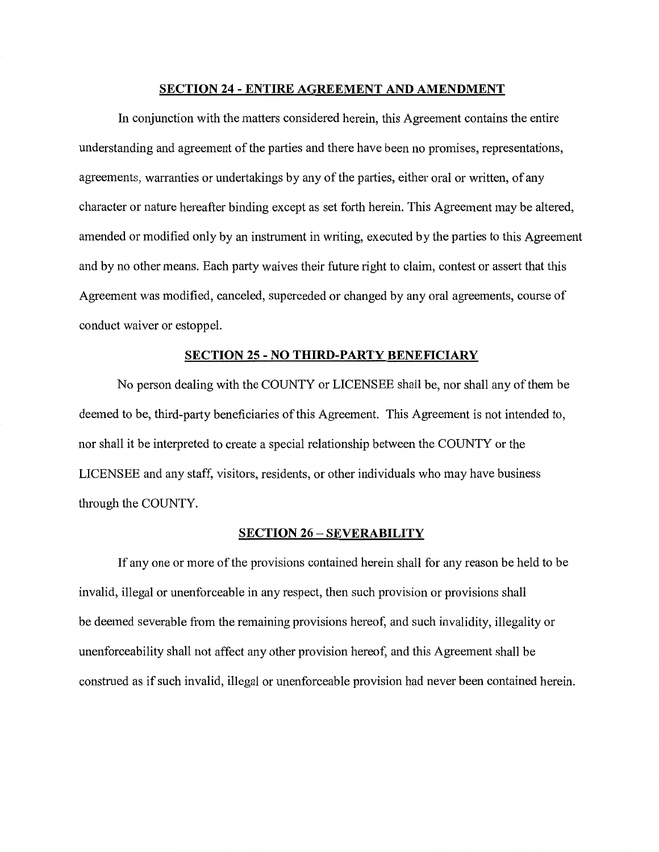## **SECTION 24 - ENTIRE AGREEMENT AND AMENDMENT**

In conjunction with the matters considered herein, this Agreement contains the entire understanding and agreement of the parties and there have been no promises, representations, agreements, warranties or undertakings by any of the parties, either oral or written, of any character or nature hereafter binding except as set forth herein. This Agreement may be altered, amended or modified only by an instrument in writing, executed by the parties to this Agreement and by no other means. Each party waives their future right to claim, contest or assert that this Agreement was modified, canceled, superceded or changed by any oral agreements, course of conduct waiver or estoppel.

# **SECTION 25 - NO THIRD-PARTY BENEFICIARY**

No person dealing with the COUNTY or LICENSEE shall be, nor shall any of them be deemed to be, third-party beneficiaries of this Agreement. This Agreement is not intended to, nor shall it be interpreted to create a special relationship between the COUNTY or the LICENSEE and any staff, visitors, residents, or other individuals who may have business through the COUNTY.

## **SECTION 26 - SEVERABILITY**

If any one or more of the provisions contained herein shall for any reason be held to be invalid, illegal or unenforceable in any respect, then such provision or provisions shall be deemed severable from the remaining provisions hereof, and such invalidity, illegality or unenforceability shall not affect any other provision hereof, and this Agreement shall be construed as if such invalid, illegal or unenforceable provision had never been contained herein.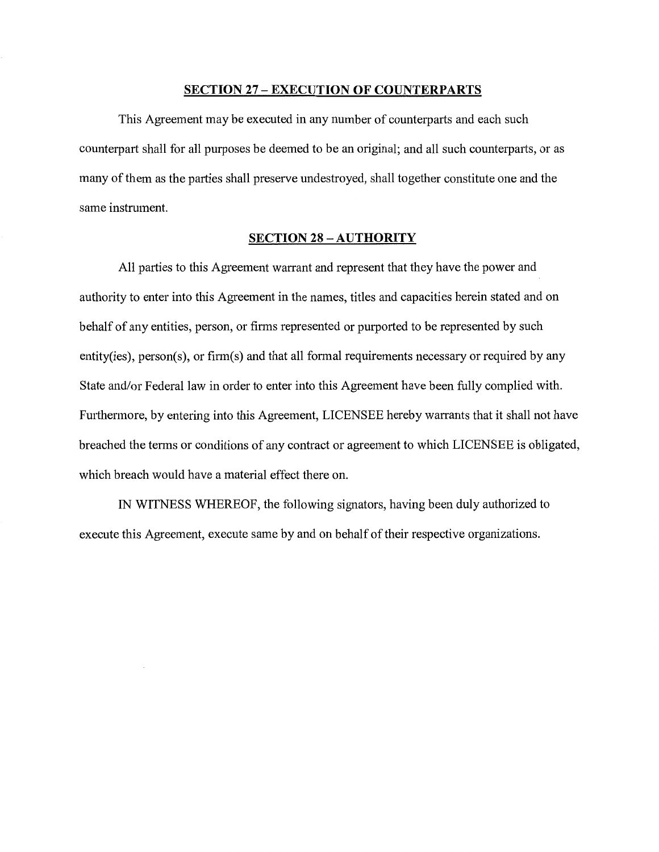# **SECTION 27 - EXECUTION OF COUNTERPARTS**

This Agreement may be executed in any number of counterparts and each such counterpart shall for all purposes be deemed to be an original; and all such counterparts, or as many of them as the parties shall preserve undestroyed, shall together constitute one and the same instrument.

# **SECTION 28 - AUTHORITY**

All parties to this Agreement warrant and represent that they have the power and authority to enter into this Agreement in the names, titles and capacities herein stated and on behalf of any entities, person, or firms represented or purported to be represented by such entity(ies), person(s), or firm(s) and that all formal requirements necessary or required by any State and/or Federal law in order to enter into this Agreement have been fully complied with. Furthermore, by entering into this Agreement, LICENSEE hereby warrants that it shall not have breached the terms or conditions of any contract or agreement to which LICENSEE is obligated, which breach would have a material effect there on.

IN WITNESS WHEREOF, the following signators, having been duly authorized to execute this Agreement, execute same by and on behalf of their respective organizations.